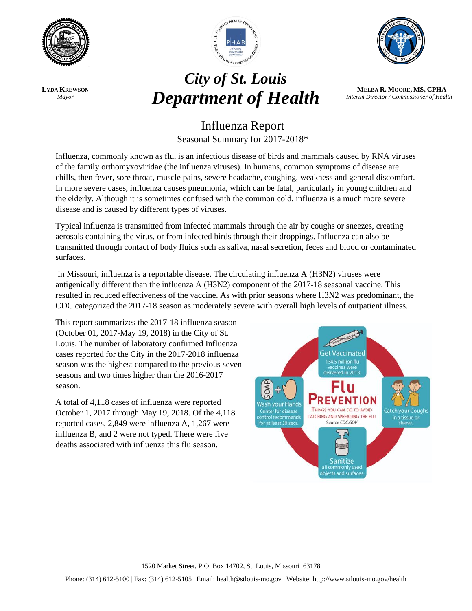

**LYDA KREWSON** *Mayor*



## *City of St. Louis* **Department of Health** *MELBA R. MOORE, MS, CPHA*<br>*Interim Director/Commissioner of Heal*



*Interim Director / Commissioner of Health*

## Influenza Report Seasonal Summary for 2017-2018\*

Influenza, commonly known as flu, is an infectious disease of birds and mammals caused by RNA viruses of the family orthomyxoviridae (the influenza viruses). In humans, common symptoms of disease are chills, then fever, sore throat, muscle pains, severe headache, coughing, weakness and general discomfort. In more severe cases, influenza causes pneumonia, which can be fatal, particularly in young children and the elderly. Although it is sometimes confused with the common cold, influenza is a much more severe disease and is caused by different types of viruses.

Typical influenza is transmitted from infected mammals through the air by coughs or sneezes, creating aerosols containing the virus, or from infected birds through their droppings. Influenza can also be transmitted through contact of body fluids such as saliva, nasal secretion, feces and blood or contaminated surfaces.

In Missouri, influenza is a reportable disease. The circulating influenza A (H3N2) viruses were antigenically different than the influenza A (H3N2) component of the 2017-18 seasonal vaccine. This resulted in reduced effectiveness of the vaccine. As with prior seasons where H3N2 was predominant, the CDC categorized the 2017-18 season as moderately severe with overall high levels of outpatient illness.

This report summarizes the 2017-18 influenza season (October 01, 2017-May 19, 2018) in the City of St. Louis. The number of laboratory confirmed Influenza cases reported for the City in the 2017-2018 influenza season was the highest compared to the previous seven seasons and two times higher than the 2016-2017 season.

A total of 4,118 cases of influenza were reported October 1, 2017 through May 19, 2018. Of the 4,118 reported cases, 2,849 were influenza A, 1,267 were influenza B, and 2 were not typed. There were five deaths associated with influenza this flu season.

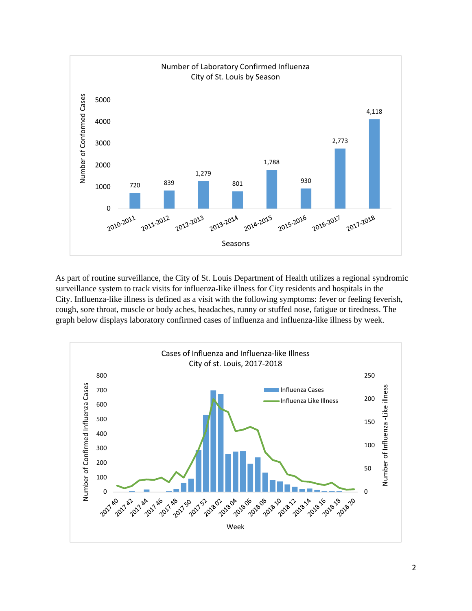

As part of routine surveillance, the City of St. Louis Department of Health utilizes a regional syndromic surveillance system to track visits for influenza-like illness for City residents and hospitals in the City. Influenza-like illness is defined as a visit with the following symptoms: fever or feeling feverish, cough, sore throat, muscle or body aches, headaches, runny or stuffed nose, fatigue or tiredness. The graph below displays laboratory confirmed cases of influenza and influenza-like illness by week.

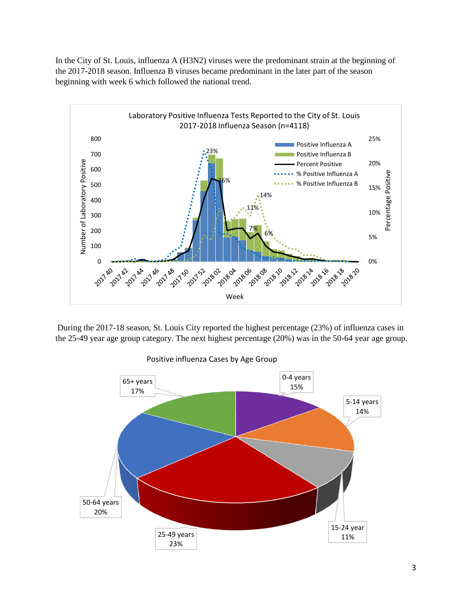In the City of St. Louis, influenza A (H3N2) viruses were the predominant strain at the beginning of the 2017-2018 season. Influenza B viruses became predominant in the later part of the season beginning with week 6 which followed the national trend.



During the 2017-18 season, St. Louis City reported the highest percentage (23%) of influenza cases in the 25-49 year age group category. The next highest percentage (20%) was in the 50-64 year age group.



Positive influenza Cases by Age Group